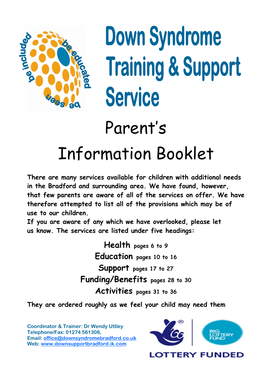

# **Down Syndrome Training & Support Service**

# Parent's

# Information Booklet

**There are many services available for children with additional needs in the Bradford and surrounding area. We have found, however, that few parents are aware of all of the services on offer. We have therefore attempted to list all of the provisions which may be of use to our children.** 

**If you are aware of any which we have overlooked, please let us know. The services are listed under five headings:** 

> **Health pages 6 to 9 Education pages 10 to 16 Support pages 17 to 27 Funding/Benefits pages 28 to 30 Activities pages 31 to 36**

**They are ordered roughly as we feel your child may need them**

**Coordinator & Trainer: Dr Wendy Uttley Telephone/Fax: 01274 561308, Email: [office@downsyndromebradford.co.uk](mailto:office@downsyndromebradford.co.uk) Web: [www.downsupportbradford.ik.com](http://www.downsupportbradford.ik.com/)**

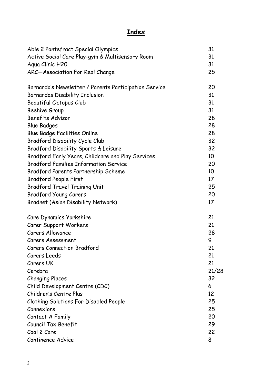# **Index**

| Able 2 Pontefract Special Olympics                    | 31    |
|-------------------------------------------------------|-------|
| Active Social Care Play-gym & Multisensory Room       | 31    |
| Aqua Clinic H20                                       | 31    |
| ARC-Association For Real Change                       | 25    |
| Barnardo's Newsletter / Parents Participation Service | 20    |
| Barnardos Disability Inclusion                        | 31    |
| Beautiful Octopus Club                                | 31    |
| Beehive Group                                         | 31    |
| <b>Benefits Advisor</b>                               | 28    |
| <b>Blue Badges</b>                                    | 28    |
| <b>Blue Badge Facilities Online</b>                   | 28    |
| Bradford Disability Cycle Club                        | 32    |
| Bradford Disability Sports & Leisure                  | 32    |
| Bradford Early Years, Childcare and Play Services     | 10    |
| <b>Bradford Families Information Service</b>          | 20    |
| Bradford Parents Partnership Scheme                   | 10    |
| <b>Bradford People First</b>                          | 17    |
| <b>Bradford Travel Training Unit</b>                  | 25    |
| <b>Bradford Young Carers</b>                          | 20    |
| <b>Bradnet (Asian Disability Network)</b>             | 17    |
| Care Dynamics Yorkshire                               | 21    |
| Carer Support Workers                                 | 21    |
| <b>Carers Allowance</b>                               | 28    |
| Carers Assessment                                     | 9     |
| <b>Carers Connection Bradford</b>                     | 21    |
| Carers Leeds                                          | 21    |
| Carers UK                                             | 21    |
| Cerebra                                               | 21/28 |
| <b>Changing Places</b>                                | 32    |
| Child Development Centre (CDC)                        | 6     |
| Children's Centre Plus                                | 12    |
| <b>Clothing Solutions For Disabled People</b>         | 25    |
| Connexions                                            | 25    |
| Contact A Family                                      | 20    |
| Council Tax Benefit                                   | 29    |
| Cool 2 Care                                           | 22    |
| Continence Advice                                     | 8     |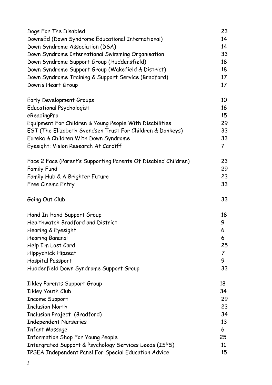| Dogs For The Disabled                                          | 23             |
|----------------------------------------------------------------|----------------|
| DownsEd (Down Syndrome Educational International)              | 14             |
| Down Syndrome Association (DSA)                                | 14             |
| Down Syndrome International Swimming Organisation              | 33             |
| Down Syndrome Support Group (Huddersfield)                     | 18             |
| Down Syndrome Support Group (Wakefield & District)             | 18             |
| Down Syndrome Training & Support Service (Bradford)            | 17             |
| Down's Heart Group                                             | 17             |
| Early Development Groups                                       | 10             |
| <b>Educational Psychologist</b>                                | 16             |
| eReadingPro                                                    | 15             |
| Equipment For Children & Young People With Disabilities        | 29             |
| EST (The Elizabeth Svendsen Trust For Children & Donkeys)      | 33             |
| Eureka & Children With Down Syndrome                           | 33             |
| Eyesight: Vision Research At Cardiff                           | $\overline{7}$ |
| Face 2 Face (Parent's Supporting Parents Of Disabled Children) | 23             |
| <b>Family Fund</b>                                             | 29             |
| Family Hub & A Brighter Future                                 | 23             |
| Free Cinema Entry                                              | 33             |
| Going Out Club                                                 | 33             |
| Hand In Hand Support Group                                     | 18             |
| Healthwatch Bradford and District                              | 9              |
| Hearing & Eyesight                                             | 6              |
| Hearing Banana!                                                | 6              |
| Help I'm Lost Card                                             | 25             |
| Hippychick Hipseat                                             | 7              |
| Hospital Passport                                              | 9              |
| Hudderfield Down Syndrome Support Group                        | 33             |
| <b>Ilkley Parents Support Group</b>                            | 18             |
| Ilkley Youth Club                                              | 34             |
| <b>Income Support</b>                                          | 29             |
| <b>Inclusion North</b>                                         | 23             |
| Inclusion Project (Bradford)                                   | 34             |
| <b>Independent Nurseries</b>                                   | 13             |
| <b>Infant Massage</b>                                          | 6              |
| <b>Information Shop For Young People</b>                       | 25             |
| Intergrated Support & Psychology Services Leeds (ISPS)         | 11             |
| IPSEA Independent Panel For Special Education Advice           | 15             |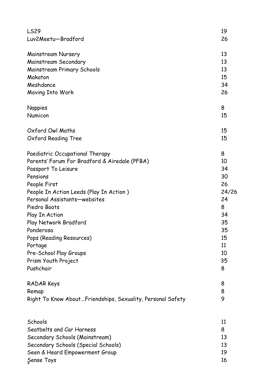| <b>LS29</b>                                                | 19    |
|------------------------------------------------------------|-------|
| Luv2Meetu-Bradford                                         | 26    |
|                                                            |       |
| Mainstream Nursery                                         | 13    |
| Mainstream Secondary                                       | 13    |
| Mainstream Primary Schools                                 | 13    |
| Makaton                                                    | 15    |
| Meshdance                                                  | 34    |
| Moving Into Work                                           | 26    |
| <b>Nappies</b>                                             | 8     |
| Numicon                                                    | 15    |
| Oxford Owl Maths                                           | 15    |
| Oxford Reading Tree                                        | 15    |
| Paediatric Occupational Therapy                            | 8     |
| Parents' Forum For Bradford & Airedale (PFBA)              | 10    |
| Passport To Leisure                                        | 34    |
| Pensions                                                   | 30    |
| People First                                               | 26    |
| People In Action Leeds (Play In Action)                    | 24/26 |
| Personal Assistants-websites                               | 24    |
| Piedro Boots                                               | 8     |
| Play In Action                                             | 34    |
| Play Network Bradford                                      | 35    |
| Ponderosa                                                  | 35    |
| Pops (Reading Resources)                                   | 15    |
| Portage                                                    | 11    |
| Pre-School Play Groups                                     | 10    |
| Prism Youth Project                                        | 35    |
| Pushchair                                                  | 8     |
| RADAR Keys                                                 | 8     |
| Remap                                                      | 8     |
| Right To Know AboutFriendships, Sexuality, Personal Safety | 9     |
|                                                            |       |
| Schools                                                    | 11    |
| Seatbelts and Car Harness                                  | 8     |
| Secondary Schools (Mainstream)                             | 13    |
| Secondary Schools (Special Schools)                        | 13    |
| Seen & Heard Empowerment Group                             | 19    |
| Sense Toys                                                 | 16    |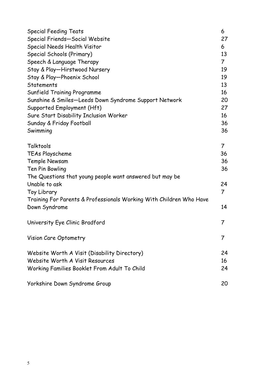| <b>Special Feeding Teats</b>                                        | 6              |
|---------------------------------------------------------------------|----------------|
| Special Friends-Social Website                                      | 27             |
| Special Needs Health Visitor                                        | 6              |
| Special Schools (Primary)                                           | 13             |
| Speech & Language Therapy                                           | $\overline{7}$ |
| Stay & Play-Hirstwood Nursery                                       | 19             |
| Stay & Play-Phoenix School                                          | 19             |
| <b>Statements</b>                                                   | 13             |
| <b>Sunfield Training Programme</b>                                  | 16             |
| Sunshine & Smiles-Leeds Down Syndrome Support Network               | 20             |
| Supported Employment (Hft)                                          | 27             |
| Sure Start Disability Inclusion Worker                              | 16             |
| Sunday & Friday Football                                            | 36             |
| Swimming                                                            | 36             |
| Talktools                                                           | $\overline{7}$ |
| TEAs Playscheme                                                     | 36             |
| Temple Newsam                                                       | 36             |
| Ten Pin Bowling                                                     | 36             |
| The Questions that young people want answered but may be            |                |
| Unable to ask                                                       | 24             |
| Toy Library                                                         | 7              |
| Training For Parents & Professionals Working With Children Who Have |                |
| Down Syndrome                                                       | 14             |
| University Eye Clinic Bradford                                      | 7              |
| Vision Care Optometry                                               | 7              |
| Website Worth A Visit (Disability Directory)                        | 24             |
| Website Worth A Visit Resources                                     | 16             |
| Working Families Booklet From Adult To Child                        | 24             |
| Yorkshire Down Syndrome Group                                       | 20             |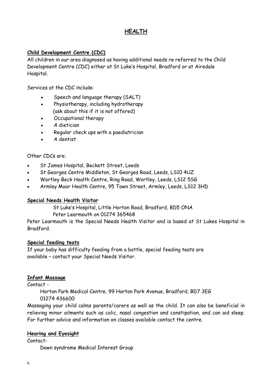# **HEALTH**

#### **Child Development Centre (CDC)**

All children in our area diagnosed as having additional needs re referred to the Child Development Centre (CDC) either at St Luke's Hospital, Bradford or at Airedale Hospital.

Services at the CDC include:

- Speech and language therapy (SALT)
- Physiotherapy, including hydrotherapy (ask about this if it is not offered)
- Occupational therapy
- A dietician
- Regular check ups with a paediatrician
- A dentist

#### Other CDCs are:

- St James Hospital, Beckett Street, Leeds
- St Georges Centre Middleton, St Georges Road, Leeds, LS10 4UZ
- Wortley Beck Health Centre, Ring Road, Wortley, Leeds, LS12 5SG
- Armley Moor Health Centre, 95 Town Street, Armley, Leeds, LS12 3HD

#### **Special Needs Health Visitor**

St Luke's Hospital, Little Horton Road, Bradford, BD5 ONA

#### Peter Learmouth on 01274 365468

Peter Learmouth is the Special Needs Health Visitor and is based at St Lukes Hospital in Bradford.

#### **Special feeding teats**

If your baby has difficulty feeding from a bottle, special feeding teats are available – contact your Special Needs Visitor.

#### **Infant Massage**

Contact -

 Horton Park Medical Centre, 99 Horton Park Avenue, Bradford, BD7 3EG 01274 436600

Massaging your child calms parents/carers as well as the child. It can also be beneficial in relieving minor ailments such as colic, nasal congestion and constipation, and can aid sleep. For further advice and information on classes available contact the centre.

#### **Hearing and Eyesight**

Contact-

Down syndrome Medical Interest Group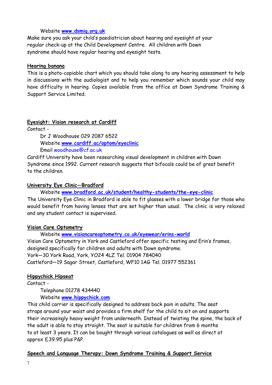#### Website **www.dsmig.org.uk**

Make sure you ask your child's paediatrician about hearing and eyesight at your regular check-up at the Child Development Centre. All children with Down syndrome should have regular hearing and eyesight tests.

#### **Hearing banana**

This is a photo-copiable chart which you should take along to any hearing assessment to help in discussions with the audiologist and to help you remember which sounds your child may have difficulty in hearing. Copies available from the office at Down Syndrome Training & Support Service Limited.

#### **Eyesight: Vision research at Cardiff**

Contact -

 Dr J Woodhouse 029 2087 6522 Website **[www.cardiff.ac/optom/eyeclinic](http://www.cardiff.ac/optom/researsh/researchunits/downssyndrome/index.html)** 

Email woodhouse@cf.ac.uk

Cardiff University have been researching visual development in children with Down Syndrome since 1992. Current research suggests that bifocals could be of great benefit to the children.

#### **University Eye Clinic—Bradford**

Website **www.bradford.ac.uk/student/healthy-students/the-eye-clinic** 

The University Eye Clinic in Bradford is able to fit glasses with a lower bridge for those who would benefit from having lenses that are set higher than usual. The clinic is very relaxed and any student contact is supervised.

#### **Vision Care Optometry**

 Website **www.visioncareoptometry.co.uk/eyewear/erins-world**  Vision Care Optometry in York and Castleford offer specific testing and Erin's frames, designed specifically for children and adults with Down syndrome. York—30 York Road, York, YO24 4LZ Tel. 01904 784040 Castleford—19 Sagar Street, Castleford, WF10 1AG Tel. 01977 552361

#### **Hippychick Hipseat**

Contact -

Telephone 01278 434440

Website **www.hippychick.com**

This child carrier is specifically designed to address back pain in adults. The seat straps around your waist and provides a firm shelf for the child to sit on and supports their increasingly heavy weight from underneath. Instead of twisting the spine, the back of the adult is able to stay straight. The seat is suitable for children from 6 months to at least 3 years. It can be bought through various catalogues as well as direct at approx £39.95 plus P&P.

#### **Speech and Language Therapy: Down Syndrome Training & Support Service**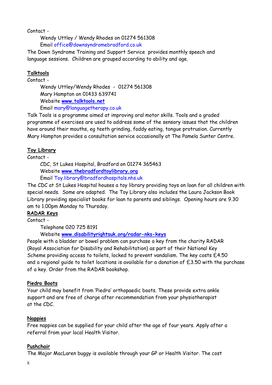Contact -

 Wendy Uttley / Wendy Rhodes on 01274 561308 Email office@downsyndromebradford.co.uk

The Down Syndrome Training and Support Service provides monthly speech and language sessions. Children are grouped according to ability and age.

# **Talktools**

Contact -

 Wendy Uttley/Wendy Rhodes - 01274 561308 Mary Hampton on 01433 639741 Website **www.talktools.net** Email [mary@languagetherapy.co.uk](mailto:mary@languagetherapy.co.uk)

Talk Tools is a programme aimed at improving oral motor skills. Tools and a graded programme of exercises are used to address some of the sensory issues that the children have around their mouths, eg teeth grinding, faddy eating, tongue protrusion. Currently Mary Hampton provides a consultation service occasionally at The Pamela Sunter Centre.

# **Toy Library**

Contact -

 CDC, St Lukes Hospital, Bradford on 01274 365463 Website **www.thebradfordtoylibrary.org** 

Email Toy.library@bradfordhospitals.nhs.uk

The CDC at St Lukes Hospital houses a toy library providing toys on loan for all children with special needs. Some are adapted. The Toy Library also includes the Laura Jackson Book Library providing specialist books for loan to parents and siblings. Opening hours are 9.30 am to 1.00pm Monday to Thursday.

# **RADAR Keys**

Contact -

Telephone 020 725 8191

Website **www.disabilityrightsuk.org/radar-nks-keys**

People with a bladder or bowel problem can purchase a key from the charity RADAR (Royal Association for Disability and Rehabilitation) as part of their National Key Scheme providing access to toilets, locked to prevent vandalism. The key costs £4.50 and a regional guide to toilet locations is available for a donation of  $£3.50$  with the purchase of a key. Order from the RADAR bookshop.

# **Piedro Boots**

Your child may benefit from 'Piedro' orthopaedic boots. These provide extra ankle support and are free of charge after recommendation from your physiotherapist at the CDC.

# **Nappies**

Free nappies can be supplied for your child after the age of four years. Apply after a referral from your local Health Visitor.

# **Pushchair**

The Major MacLaren buggy is available through your GP or Health Visitor. The cost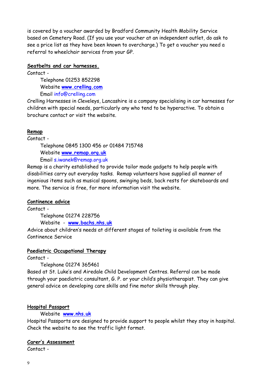is covered by a voucher awarded by Bradford Community Health Mobility Service based on Cemetery Road. (If you use your voucher at an independent outlet, do ask to see a price list as they have been known to overcharge.) To get a voucher you need a referral to wheelchair services from your GP.

#### **Seatbelts and car harnesses.**

Contact -

 Telephone 01253 852298 Website **www.crelling.com**  Email info@crelling.com

Crelling Harnesses in Cleveleys, Lancashire is a company specialising in car harnesses for children with special needs, particularly any who tend to be hyperactive. To obtain a brochure contact or visit the website.

#### **Remap**

Contact -

Telephone 0845 1300 456 or 01484 715748

Website **www.remap.org.uk** 

Email s.iwanek@remap.org.uk

Remap is a charity established to provide tailor made gadgets to help people with disabilities carry out everyday tasks. Remap volunteers have supplied all manner of ingenious items such as musical spoons, swinging beds, back rests for skateboards and more. The service is free, for more information visit the website.

#### **Continence advice**

Contact -

Telephone 01274 228756

Website - **www.bachs.nhs.uk** 

Advice about children's needs at different stages of toileting is available from the Continence Service

#### **Paediatric Occupational Therapy**

Contact -

Telephone 01274 365461

Based at St. Luke's and Airedale Child Development Centres. Referral can be made through your paediatric consultant, G. P. or your child's physiotherapist. They can give general advice on developing care skills and fine motor skills through play.

#### **Hospital Passport**

Website **www.nhs.uk** 

Hospital Passports are designed to provide support to people whilst they stay in hospital. Check the website to see the traffic light format.

#### **Carer's Assessment**

Contact -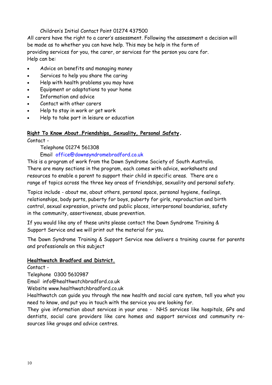#### Children's Initial Contact Point 01274 437500

All carers have the right to a carer's assessment. Following the assessment a decision will be made as to whether you can have help. This may be help in the form of providing services for you, the carer, or services for the person you care for. Help can be:

- Advice on benefits and managing money
- Services to help you share the caring
- Help with health problems you may have
- Equipment or adaptations to your home
- Information and advice
- Contact with other carers
- Help to stay in work or get work
- Help to take part in leisure or education

#### **Right To Know About…Friendships, Sexuality, Personal Safety.**

Contact -

Telephone 01274 561308

Email office@downsyndromebradford.co.uk

This is a program of work from the Down Syndrome Society of South Australia. There are many sections in the program, each comes with advice, worksheets and resources to enable a parent to support their child in specific areas. There are a range of topics across the three key areas of friendships, sexuality and personal safety.

Topics include - about me, about others, personal space, personal hygiene, feelings, relationships, body parts, puberty for boys, puberty for girls, reproduction and birth control, sexual expression, private and public places, interpersonal boundaries, safety in the community, assertiveness, abuse prevention.

If you would like any of these units please contact the Down Syndrome Training & Support Service and we will print out the material for you.

The Down Syndrome Training & Support Service now delivers a training course for parents and professionals on this subject

#### **Healthwatch Bradford and District.**

Contact -

Telephone 0300 5610987

Email info@healthwatchbradford.co.uk

Website www.healthwatchbradford.co.uk

Healthwatch can guide you through the new health and social care system, tell you what you need to know, and put you in touch with the service you are looking for.

They give information about services in your area - NHS services like hospitals, GPs and dentists, social care providers like care homes and support services and community resources like groups and advice centres.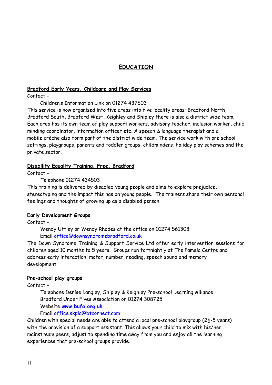# **EDUCATION**

#### **Bradford Early Years, Childcare and Play Services**

Contact -

Children's Information Link on 01274 437503

This service is now organised into five areas into five locality areas: Bradford North, Bradford South, Bradford West, Keighley and Shipley there is also a district wide team. Each area has its own team of play support workers, advisory teacher, inclusion worker, child minding coordinator, information officer etc. A speech & language therapist and a mobile crèche also form part of the district wide team. The service work with pre school settings, playgroups, parents and toddler groups, childminders, holiday play schemes and the private sector.

#### **Disability Equality Training, Free, Bradford**

Contact -

Telephone 01274 434503

This training is delivered by disabled young people and aims to explore prejudice, stereotyping and the impact this has on young people. The trainers share their own personal feelings and thoughts of growing up as a disabled person.

#### **Early Development Groups**

Contact -

 Wendy Uttley or Wendy Rhodes at the office on 01274 561308 Email [office@downsyndromebradford.co.uk](mailto:office@downsyndromebradford.co.uk) 

The Down Syndrome Training & Support Service Ltd offer early intervention sessions for children aged 10 months to 5 years. Groups run fortnightly at The Pamela Centre and address early interaction, motor, number, reading, speech sound and memory development.

#### **Pre-school play groups**

Contact -

 Telephone Denise Langley, Shipley & Keighley Pre-school Learning Alliance Bradford Under Fives Association on 01274 308725 Website **www.bufa.org.uk**

# Email office.skpla@btconnect.com

Children with special needs are able to attend a local pre-school playgroup ( $2\frac{1}{2}$ -5 years) with the provision of a support assistant. This allows your child to mix with his/her mainstream peers, adjust to spending time away from you and enjoy all the learning experiences that pre-school groups provide.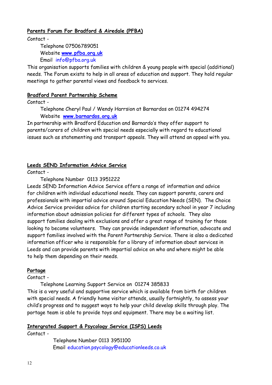#### **Parents Forum For Bradford & Airedale (PFBA)**

Contact -

 Telephone 07506789051 Website **www.pfba.org.uk**  Email info@pfba.org.uk

This organisation supports families with children & young people with special (additional) needs. The Forum exists to help in all areas of education and support. They hold regular meetings to gather parental views and feedback to services.

#### **Bradford Parent Partnership Scheme**

Contact -

 Telephone Cheryl Paul / Wendy Harrsion at Barnardos on 01274 494274 Website **www.barnardos.org.uk** 

In partnership with Bradford Education and Barnardo's they offer support to parents/carers of children with special needs especially with regard to educational issues such as statementing and transport appeals. They will attend an appeal with you.

#### **Leeds SEND Information Advice Service**

Contact -

Telephone Number 0113 3951222

Leeds SEND Information Advice Service offers a range of information and advice for children with individual educational needs. They can support parents, carers and professionals with impartial advice around Special Education Needs (SEN). The Choice Advice Service provides advice for children starting secondary school in year 7 including information about admission policies for different types of schools. They also support families dealing with exclusions and offer a great range of training for those looking to become volunteers. They can provide independent information, advocate and support families involved with the Parent Partnership Service. There is also a dedicated information officer who is responsible for a library of information about services in Leeds and can provide parents with impartial advice on who and where might be able to help them depending on their needs.

#### **Portage**

Contact -

Telephone Learning Support Service on 01274 385833

This is a very useful and supportive service which is available from birth for children with special needs. A friendly home visitor attends, usually fortnightly, to assess your child's progress and to suggest ways to help your child develop skills through play. The portage team is able to provide toys and equipment. There may be a waiting list.

#### **Intergrated Support & Psycology Service (ISPS) Leeds**

Contact -

 Telephone Number 0113 3951100 Email education.psycology@educationleeds.co.uk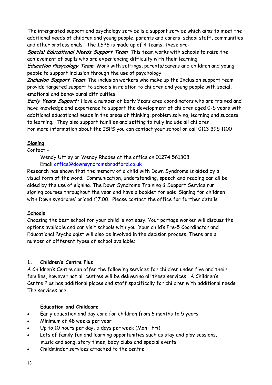The intergrated support and psychology service is a support service which aims to meet the additional needs of children and young people, parents and carers, school staff, communities and other professionals. The ISPS is made up of 4 teams, these are:

**Special Educational Needs Support Team**: This team works with schools to raise the achievement of pupils who are experiencing difficulty with their learning

**Education Phsycology Team**: Work with settings, parents/carers and children and young people to support inclusion through the use of psychology

**Inclusion Support Team**: The inclusion workers who make up the Inclusion support team provide targeted support to schools in relation to children and young people with social, emotional and behavioural difficulties

**Early Years Support:** Have a number of Early Years area coordinators who are trained and have knowledge and experience to support the development of children aged 0-5 years with additional educational needs in the areas of thinking, problem solving, learning and success to learning. They also support families and setting to fully include all children. For more information about the ISPS you can contact your school or call 0113 395 1100

# **Signing**

#### Contact -

 Wendy Uttley or Wendy Rhodes at the office on 01274 561308 Email [office@downsyndromebradford.co.uk](mailto:office@downsyndromebradford.co.uk) 

Research has shown that the memory of a child with Down Syndrome is aided by a visual form of the word. Communication, understanding, speech and reading can all be aided by the use of signing. The Down Syndrome Training & Support Service run signing courses throughout the year and have a booklet for sale 'Signing for children with Down syndrome' priced £7.00. Please contact the office for further details

# **Schools**

Choosing the best school for your child is not easy. Your portage worker will discuss the options available and can visit schools with you. Your child's Pre-5 Coordinator and Educational Psychologist will also be involved in the decision process. There are a number of different types of school available:

# **1. Children's Centre Plus**

A Children's Centre can offer the following services for children under five and their families, however not all centres will be delivering all these services. A Children's Centre Plus has additional places and staff specifically for children with additional needs. The services are:

# **Education and Childcare**

- Early education and day care for children from 6 months to 5 years
- Minimum of 48 weeks per year
- Up to 10 hours per day, 5 days per week (Mon—Fri)
- Lots of family fun and learning opportunities such as stay and play sessions, music and song, story times, baby clubs and special events
- Childminder services attached to the centre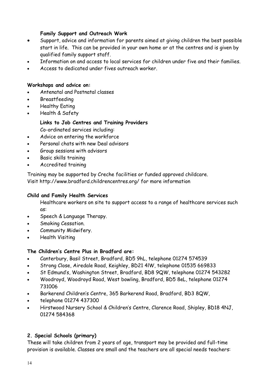#### **Family Support and Outreach Work**

- Support, advice and information for parents aimed at giving children the best possible start in life. This can be provided in your own home or at the centres and is given by qualified family support staff.
- Information on and access to local services for children under five and their families.
- Access to dedicated under fives outreach worker.

#### **Workshops and advice on:**

- Antenatal and Postnatal classes
- Breastfeeding
- Healthy Eating
- Health & Safety

 **Links to Job Centres and Training Providers**  Co-ordinated services including:

- Advice on entering the workforce
- Personal chats with new Deal advisors
- Group sessions with advisors
- Basic skills training
- Accredited training

Training may be supported by Creche facilities or funded approved childcare. Visit http://www.bradford.childrencentres.org/ for more information

#### **Child and Family Health Services**

Healthcare workers on site to support access to a range of healthcare services such as:

- Speech & Language Therapy.
- Smoking Cessation.
- Community Midwifery.
- Health Visiting

#### **The Children's Centre Plus in Bradford are:**

- Canterbury, Basil Street, Bradford, BD5 9hL, telephone 01274 574539
- Strong Close, Airedale Road, Keighley, BD21 4lW, telephone 01535 669833
- St Edmund's, Washington Street, Bradford, BD8 9QW, telephone 01274 543282
- Woodroyd, Woodroyd Road, West bowling, Bradford, BD5 8eL, telephone 01274 731006
- Barkerend Children's Centre, 365 Barkerend Road, Bradford, BD3 8QW,
- telephone 01274 437300
- Hirstwood Nursery School & Children's Centre, Clarence Road, Shipley, BD18 4NJ, 01274 584368

# **2. Special Schools (primary)**

These will take children from 2 years of age, transport may be provided and full-time provision is available. Classes are small and the teachers are all special needs teachers: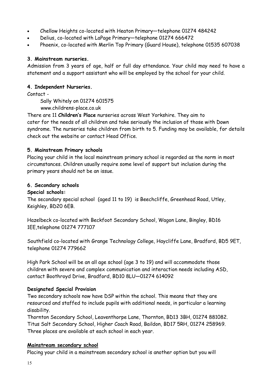- Chellow Heights co-located with Heaton Primary—telephone 01274 484242
- Delius, co-located with LaPage Primary—telephone 01274 666472
- Phoenix, co-located with Merlin Top Primary (Guard House), telephone 01535 607038

#### **3. Mainstream nurseries.**

Admission from 3 years of age, half or full day attendance. Your child may need to have a statement and a support assistant who will be employed by the school for your child.

#### **4. Independent Nurseries.**

Contact -

 Sally Whitely on 01274 601575 www.childrens-place.co.uk

There are 11 **Children's Place** nurseries across West Yorkshire. They aim to cater for the needs of all children and take seriously the inclusion of those with Down syndrome. The nurseries take children from birth to 5. Funding may be available, for details check out the website or contact Head Office.

#### **5. Mainstream Primary schools**

Placing your child in the local mainstream primary school is regarded as the norm in most circumstances. Children usually require some level of support but inclusion during the primary years should not be an issue.

#### **6. Secondary schools**

#### **Special schools:**

The secondary special school (aged 11 to 19) is Beechcliffe, Greenhead Road, Utley, Keighley, BD20 6EB.

Hazelbeck co-located with Beckfoot Secondary School, Wagon Lane, Bingley, BD16 1EE,telephone 01274 777107

Southfield co-located with Grange Technology College, Haycliffe Lane, Bradford, BD5 9ET, telephone 01274 779662

High Park School will be an all age school (age 3 to 19) and will accommodate those children with severe and complex communication and interaction needs including ASD, contact Boothroyd Drive, Bradford, BD10 8LU—01274 614092

#### **Designated Special Provision**

Two secondary schools now have DSP within the school. This means that they are resourced and staffed to include pupils with additional needs, in particular a learning disability.

Thornton Secondary School, Leaventhorpe Lane, Thornton, BD13 3BH, 01274 881082. Titus Salt Secondary School, Higher Coach Road, Baildon, BD17 5RH, 01274 258969. Three places are available at each school in each year.

#### **Mainstream secondary school**

Placing your child in a mainstream secondary school is another option but you will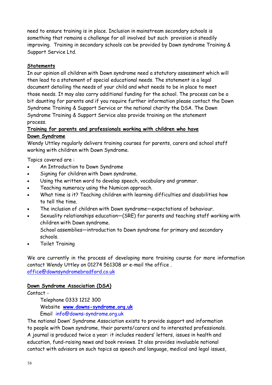need to ensure training is in place. Inclusion in mainstream secondary schools is something that remains a challenge for all involved but such provision is steadily improving. Training in secondary schools can be provided by Down syndrome Training & Support Service Ltd.

### **Statements**

In our opinion all children with Down syndrome need a statutory assessment which will then lead to a statement of special educational needs. The statement is a legal document detailing the needs of your child and what needs to be in place to meet those needs. It may also carry additional funding for the school. The process can be a bit daunting for parents and if you require further information please contact the Down Syndrome Training & Support Service or the national charity the DSA. The Down Syndrome Training & Support Service also provide training on the statement process.

# **Training for parents and professionals working with children who have Down Syndrome**

Wendy Uttley regularly delivers training courses for parents, carers and school staff working with children with Down Syndrome.

Topics covered are :

- An Introduction to Down Syndrome
- Signing for children with Down syndrome.
- Using the written word to develop speech, vocabulary and grammar.
- Teaching numeracy using the Numicon approach.
- What time is it? Teaching children with learning difficulties and disabilities how to tell the time.
- The inclusion of children with Down syndrome—expectations of behaviour.
- Sexuality relationships education—(SRE) for parents and teaching staff working with children with Down syndrome.

 School assemblies—introduction to Down syndrome for primary and secondary schools.

Toilet Training

We are currently in the process of developing more training course for more information contact Wendy Uttley on 01274 561308 or e-mail the office . office@downsyndromebradford.co.uk

#### **Down Syndrome Association (DSA)**

Contact -

Telephone 0333 1212 300

Website **www.downs-syndrome.org.uk**

Email info@downs-syndrome.org.uk

The national Down' Syndrome Association exists to provide support and information to people with Down syndrome, their parents/carers and to interested professionals. A journal is produced twice a year: it includes readers' letters, issues in health and education, fund-raising news and book reviews. It also provides invaluable national contact with advisors on such topics as speech and language, medical and legal issues,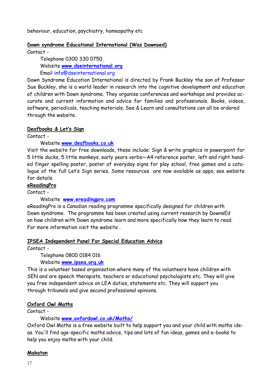behaviour, education, psychiatry, homeopathy etc

#### **Down syndrome Educational International (Was Downsed)**

Contact -

 Telephone 0300 330 0750 Website **www.dseinternational.org** Email info@dseinternational.org

Down Syndrome Education International is directed by Frank Buckley the son of Professor Sue Buckley, she is a world leader in research into the cognitive development and education of children with Down syndrome. They organise conferences and workshops and provides accurate and current information and advice for families and professionals. Books, videos, software, periodicals, teaching materials, See & Learn and consultations can all be ordered through the website.

#### **Deafbooks & Let's Sign**

Contact -

Website **www.deafbooks.co.uk**

Visit the website for free downloads, these include: Sign & write graphics in powerpoint for 5 little ducks, 5 little monkeys, early years verbs—A4 reference poster, left and right handed finger spelling poster, poster of everyday signs for play school, free games and a catalogue of the full Let's Sign series. Some resources are now available as apps, see website for details.

#### **eReadingPro**

Contact -

Website **www.ereadingpro.com**

eReadingPro is a Canadian reading programme specifically designed for children with Down syndrome. The programme has been created using current research by DownsEd on how children with Down syndrome learn and more specifically how they learn to read. For more information visit the website .

#### **IPSEA Independent Panel For Special Education Advice**

Contact -

Telephone 0800 0184 016

Website **www.ipsea.org.uk** 

This is a volunteer based organisation where many of the volunteers have children with SEN and are speech therapists, teachers or educational psychologists etc. They will give you free independent advice on LEA duties, statements etc. They will support you through tribunals and give second professional opinions.

#### **Oxford Owl Maths**

Contact -

Website **[www.oxfordowl.co.uk/Maths/](http://www.oxfordowl.co.uk/maths/)**

Oxford Owl Maths is a free website built to help support you and your child with maths ideas. You'll find age-specific maths advice, tips and lots of fun ideas, games and e-books to help you enjoy maths with your child.

#### **Makaton**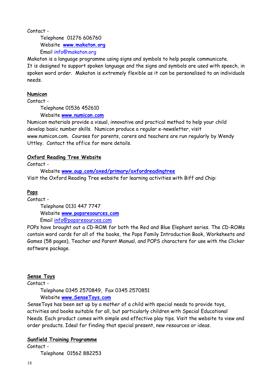Contact -

 Telephone 01276 606760 Website **www.makaton.org**  Email info@makaton.org

Makaton is a language programme using signs and symbols to help people communicate. It is designed to support spoken language and the signs and symbols are used with speech, in spoken word order. Makaton is extremely flexible as it can be personalised to an individuals needs.

#### **Numicon**

Contact -

Telephone 01536 452610

Website **www.numicon.com**

Numicon materials provide a visual, innovative and practical method to help your child develop basic number skills. Numicon produce a regular e-newsletter, visit www.numicon.com. Courses for parents, carers and teachers are run regularly by Wendy Uttley. Contact the office for more details.

#### **Oxford Reading Tree Website**

Contact -

 Website **www.oup.com/oxed/primary/oxfordreadingtree** Visit the Oxford Reading Tree website for learning activities with Biff and Chip:

#### **Pops**

Contact -

 Telephone 0131 447 7747 Website **www.popsresources.com** Email info@popsresources.com

POPs have brought out a CD-ROM for both the Red and Blue Elephant series. The CD-ROMs contain word cards for all of the books, the Pops Family Introduction Book, Worksheets and Games (58 pages), Teacher and Parent Manual, and POPS characters for use with the Clicker software package.

#### **Sense Toys**

Contact -

Telephone 0345 2570849, Fax 0345 2570851

Website **www.SenseToys.com** 

SenseToys has been set up by a mother of a child with special needs to provide toys, activities and books suitable for all, but particularly children with Special Educational Needs. Each product comes with simple and effective play tips. Visit the website to view and order products. Ideal for finding that special present, new resources or ideas.

#### **Sunfield Training Programme**

Contact - Telephone 01562 882253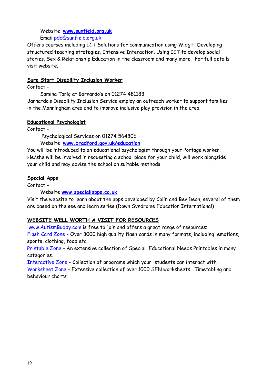#### Website **www.sunfield.org.uk**

Email pdc@sunfield.org.uk

Offers courses including ICT Solutions for communication using Widgit, Developing structured teaching strategies, Intensive Interaction, Using ICT to develop social stories, Sex & Relationship Education in the classroom and many more. For full details visit website.

#### **Sure Start Disability Inclusion Worker**

Contact -

Samina Tariq at Barnardo's on 01274 481183

Barnardo's Disability Inclusion Service employ an outreach worker to support families in the Manningham area and to improve inclusive play provision in the area.

#### **Educational Psychologist**

Contact -

Psychological Services on 01274 564806

Website **www.bradford.gov.uk/education**

You will be introduced to an educational psychologist through your Portage worker. He/she will be involved in requesting a school place for your child, will work alongside your child and may advise the school on suitable methods.

#### **Special Apps**

Contact -

Website **www.specialiapps.co.uk** 

Visit the website to learn about the apps developed by Colin and Bev Dean, several of them are based on the see and learn series (Down Syndrome Education International)

#### **WEBSITE WELL WORTH A VISIT FOR RESOURCES**

[www.AutismBuddy.com](http://www.AutismBuddy.com) is free to join and offers a great range of resources:

[Flash Card Zone -](http://autismbuddy.com/flash-zone) Over 3000 high quality flash cards in many formats, including emotions, sports, clothing, food etc.

[Printable Zone -](http://autismbuddy.com/printable-zone) An extensive collection of Special Educational Needs Printables in many categories.

[Interactive Zone -](http://autismbuddy.com/interactive-zone) Collection of programs which your students can interact with.

[Worksheet Zone -](http://autismbuddy.com/worksheet-zone) Extensive collection of over 1000 SEN worksheets. Timetabling and behaviour charts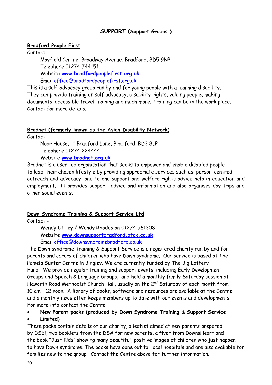#### **SUPPORT (Support Groups )**

#### **Bradford People First**

Contact -

 Mayfield Centre, Broadway Avenue, Bradford, BD5 9NP Telephone 01274 744151, Website **www.bradfordpeoplefirst.org.uk**  Email office@bradfordpeoplefirst.org.uk

This is a self-advocacy group run by and for young people with a learning disability. They can provide training on self advocacy, disability rights, valuing people, making documents, accessible travel training and much more. Training can be in the work place. Contact for more details.

#### **Bradnet (formerly known as the Asian Disability Network)**

Contact -

 Noor House, 11 Bradford Lane, Bradford, BD3 8LP Telephone 01274 224444 Website **www.bradnet.org.uk** 

Bradnet is a user-led organisation that seeks to empower and enable disabled people to lead their chosen lifestyle by providing appropriate services such as: person-centred outreach and advocacy, one-to-one support and welfare rights advice help in education and employment. It provides support, advice and information and also organises day trips and other social events.

#### **Down Syndrome Training & Support Service Ltd**

Contact -

 Wendy Uttley / Wendy Rhodes on 01274 561308 Website **www.downsupportbradford.btck.co.uk**  Email office@downsyndromebradford.co.uk

The Down syndrome Training & Support Service is a registered charity run by and for parents and carers of children who have Down syndrome. Our service is based at The Pamela Sunter Centre in Bingley. We are currently funded by The Big Lottery Fund. We provide regular training and support events, including Early Development Groups and Speech & Language Groups, and hold a monthly family Saturday session at Haworth Road Methodist Church Hall, usually on the 2<sup>nd</sup> Saturday of each month from 10 am – 12 noon. A library of books, software and resources are available at the Centre and a monthly newsletter keeps members up to date with our events and developments. For more info contact the Centre.

**New Parent packs (produced by Down Syndrome Training & Support Service** 

**Limited)** 

These packs contain details of our charity, a leaflet aimed at new parents prepared by DSEi, two booklets from the DSA for new parents, a flyer from DownsHeart and the book "Just Kids" showing many beautiful, positive images of children who just happen to have Down syndrome. The packs have gone out to local hospitals and are also available for families new to the group. Contact the Centre above for further information.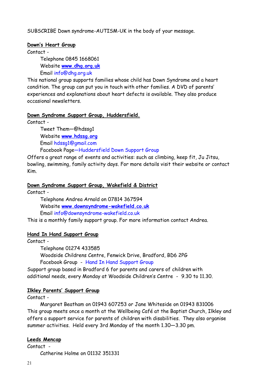SUBSCRIBE Down syndrome-AUTISM-UK in the body of your message.

#### **Down's Heart Group**

Contact -

Telephone 0845 1668061

Website **www.dhg.org.uk** 

Email info@dhg.org.uk

This national group supports families whose child has Down Syndrome and a heart condition. The group can put you in touch with other families. A DVD of parents' experiences and explanations about heart defects is available. They also produce occasional newsletters.

#### **Down Syndrome Support Group, Huddersfield.**

Contact -

 Tweet Them—@hdssg1 Website **www.hdssg.org**  Email hdssg1@gmail.com Facebook Page—Huddersfield Down Support Group

Offers a great range of events and activities: such as climbing, keep fit, Ju Jitsu, bowling, swimming, family activity days. For more details visit their website or contact Kim.

#### **Down Syndrome Support Group, Wakefield & District**

Contact -

 Telephone Andrea Arnold on 07814 367594 Website **www.downsyndrome-wakefield.co.uk**  Email info@downsyndrome-wakefield.co.uk

This is a monthly family support group. For more information contact Andrea.

#### **Hand In Hand Support Group**

Contact -

Telephone 01274 433585

 Woodside Childrens Centre, Fenwick Drive, Bradford, BD6 2PG Facebook Group - Hand In Hand Support Group

Support group based in Bradford 6 for parents and carers of children with additional needs, every Monday at Woodside Children's Centre - 9.30 to 11.30.

# **Ilkley Parents' Support Group**

Contact -

 Margaret Beatham on 01943 607253 or Jane Whiteside on 01943 831006 This group meets once a month at the Wellbeing Café at the Baptist Church, Ilkley and offers a support service for parents of children with disabilities. They also organise summer activities. Held every 3rd Monday of the month 1.30—3.30 pm.

#### **Leeds Mencap**

Contact - Catherine Holme on 01132 351331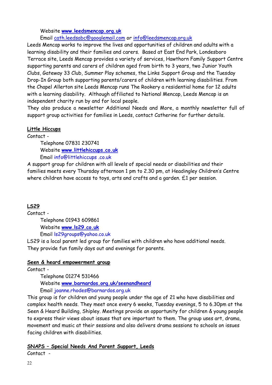#### Website **[www.leedsmencap.org.uk](http://www.leedsmencap.org.uk/)**

Email cath.leedsabc@googlemail.com or [info@leedsmencap.org.uk](mailto:info@leedsmencap.org.uk) 

Leeds Mencap works to improve the lives and opportunities of children and adults with a learning disability and their families and carers. Based at East End Park, Londesboro Terrace site, Leeds Mencap provides a variety of services, Hawthorn Family Support Centre supporting parents and carers of children aged from birth to 3 years, two Junior Youth Clubs, Gateway 33 Club, Summer Play schemes, the Links Support Group and the Tuesday Drop-In Group both supporting parents/carers of children with learning disabilities. From the Chapel Allerton site Leeds Mencap runs The Rookery a residential home for 12 adults with a learning disability. Although affiliated to National Mencap, Leeds Mencap is an independent charity run by and for local people.

They also produce a newsletter Additional Needs and More, a monthly newsletter full of support group activities for families in Leeds, contact Catherine for further details.

#### **Little Hiccups**

#### Contact -

 Telephone 07831 230741 Website **www.littlehiccups.co.uk** Email info@littlehiccups .co.uk

A support group for children with all levels of special needs or disabilities and their families meets every Thursday afternoon 1 pm to 2.30 pm, at Headingley Children's Centre where children have access to toys, arts and crafts and a garden. £1 per session.

# **LS29**

Contact - Telephone 01943 609861 Website **www.ls29.co.uk**  Email ls29groups@yahoo.co.uk

LS29 is a local parent led group for families with children who have additional needs. They provide fun family days out and evenings for parents.

#### **Seen & heard empowerment group**

Contact -

 Telephone 01274 531466 Website **www.barnardos.org.uk/seenandheard**  Email joanne.rhodes@barnardos.org.uk

This group is for children and young people under the age of 21 who have disabilities and complex health needs. They meet once every 6 weeks, Tuesday evenings, 5 to 6.30pm at the Seen & Heard Building, Shipley. Meetings provide an opportunity for children & young people to express their views about issues that are important to them. The group uses art, drama, movement and music at their sessions and also delivers drama sessions to schools on issues facing children with disabilities.

# **SNAPS – Special Needs And Parent Support, Leeds**

Contact -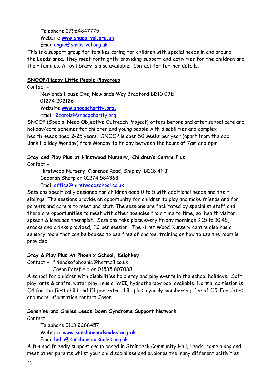Telephone 07964847775 Website **www.snaps-vol.org.uk** Email [angie@snaps-vol.org.uk](mailto:angie@snaps-vol.org.uk) 

This is a support group for families caring for children with special needs in and around the Leeds area. They meet fortnightly providing support and activities for the children and their families. A toy library is also available. Contact for further details.

#### **SNOOP/Happy Little People Playgroup**

Contact - Newlands House One, Newlands Way Bradford BD10 0JE 01274 292126 Website **www.snoopcharity.org.**  Email 2carols@snoopcharity.org.

SNOOP (Special Need Objective Outreach Project) offers before and after school care and holiday/care schemes for children and young people with disabilities and complex health needs aged 2-25 years. SNOOP is open 50 weeks per year (apart from the odd Bank Holiday Monday) from Monday to Friday between the hours of 7am and 6pm.

#### **Stay and Play Plus at Hirstwood Nursery, Children's Centre Plus**

Contact -

 Hirstwood Nursery, Clarence Road, Shipley, BD18 4NJ Deborah Sharp on 01274 584368

Email office@hirstwoodschool.co.uk

Sessions specifically designed for children aged 0 to 5 with additional needs and their siblings. The sessions provide an opportunity for children to play and make friends and for parents and carers to meet and chat. The sessions are facilitated by specialist staff and there are opportunities to meet with other agencies from time to time, eg, health visitor, speech & language therapist. Sessions take place every Friday mornings 9.15 to 10.45, snacks and drinks provided, £2 per session. The Hirst Wood Nursery centre also has a sensory room that can be booked to use free of charge, training on how to use the room is provided.

#### **Stay & Play Plus At Phoenix School, Keighkey**

Contact - friendsofphoenix@hotmail.co.uk

Jason Patefield on 01535 607038

A school for children with disabilities hold stay and play events in the school holidays. Soft play, arts & crafts, water play, music, WII, hydrotherapy pool available. Normal admission is  $£4$  for the first child and  $£1$  per extra child plus a yearly membership fee of  $£5$ . For dates and more information contact Jason.

#### **Sunshine and Smiles Leeds Down Syndrome Support Network**

Contact -

Telephone 0113 2268457

Website **www.sunshineandsmiles.org.uk** 

Email hello@sunshineandsmiles.org.uk

A fun and friendly support group based in Stainbeck Community Hall, Leeds, come along and meet other parents whilst your child socialises and explores the many different acitivities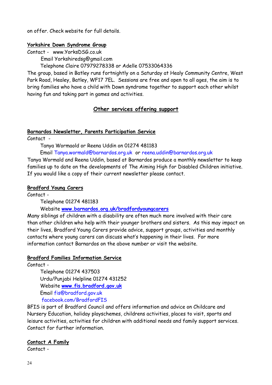on offer. Check website for full details.

#### **Yorkshire Down Syndrome Group**

Contact - www.YorksDSG.co.uk

Email Yorkshiredsg@gmail.com

Telephone Claire 07979278338 or Adelle 07533064336

The group, based in Batley runs fortnightly on a Saturday at Healy Community Centre, West Park Road, Healey, Batley, WF17 7EL. Sessions are free and open to all ages, the aim is to bring families who have a child with Down syndrome together to support each other whilst having fun and taking part in games and activities.

# **Other services offering support**

#### **Barnardos Newsletter, Parents Participation Service**

Contact -

Tanya Wormaold or Reena Uddin on 01274 481183

Email Tanya.wormald@barnardos.org.uk or reena.uddin@barnardos.org.uk

Tanya Wormald and Reena Uddin, based at Barnardos produce a monthly newsletter to keep families up to date on the developments of The Aiming High for Disabled Children initiative. If you would like a copy of their current newsletter please contact.

#### **Bradford Young Carers**

Contact -

Telephone 01274 481183

#### Website **www.barnardos.org.uk/bradfordyoungcarers**

Many siblings of children with a disability are often much more involved with their care than other children who help with their younger brothers and sisters. As this may impact on their lives, Bradford Young Carers provide advice, support groups, activities and monthly contacts where young carers can discuss what's happening in their lives. For more information contact Barnardos on the above number or visit the website.

#### **Bradford Families Information Service**

Contact -

 Telephone 01274 437503 Urdu/Punjabi Helpline 01274 431252 Website **www.fis.bradford.gov.uk** Email fis@bradford.gov.uk facebook.com/BradfordFIS

BFIS is part of Bradford Council and offers information and advice on Childcare and Nursery Education, holiday playschemes, childrens activities, places to visit, sports and leisure activities, activities for children with additional needs and family support services. Contact for further information.

#### **Contact A Family**

Contact -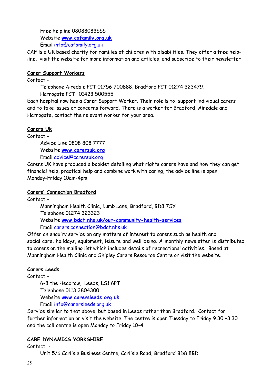Free helpline 08088083555 Website **www.cafamily.org.uk** Email info@cafamily.org.uk

CAF is a UK based charity for families of children with disabilities. They offer a free helpline, visit the website for more information and articles, and subscribe to their newsletter

#### **Carer Support Workers**

Contact -

 Telephone Airedale PCT 01756 700888, Bradford PCT 01274 323479, Harrogate PCT 01423 500555

Each hospital now has a Carer Support Worker. Their role is to support individual carers and to take issues or concerns forward. There is a worker for Bradford, Airedale and Harrogate, contact the relevant worker for your area.

# **Carers Uk**

Contact -

 Advice Line 0808 808 7777 Website **www.carersuk.org**  Email advice@carersuk.org

Carers UK have produced a booklet detailing what rights carers have and how they can get financial help, practical help and combine work with caring, the advice line is open Monday-Friday 10am-4pm

# **Carers' Connection Bradford**

Contact - Manningham Health Clinic, Lumb Lane, Bradford, BD8 7SY Telephone 01274 323323 Website **www.bdct.nhs.uk/our-community-health-services** Email carers.connection@bdct.nhs.uk

Offer an enquiry service on any matters of interest to carers such as health and social care, holidays, equipment, leisure and well being. A monthly newsletter is distributed to carers on the mailing list which includes details of recreational activities. Based at Manningham Health Clinic and Shipley Carers Resource Centre or visit the website.

# **Carers Leeds**

Contact -

 6-8 the Headrow, Leeds, LS1 6PT Telephone 0113 3804300 Website **www.carersleeds.org.uk**  Email info@carersleeds.org.uk

Service similar to that above, but based in Leeds rather than Bradford. Contact for further information or visit the website. The centre is open Tuesday to Friday 9.30 –3.30 and the call centre is open Monday to Friday 10-4.

# **CARE DYNAMICS YORKSHIRE**

Contact -

Unit 5/6 Carlisle Business Centre, Carlisle Road, Bradford BD8 8BD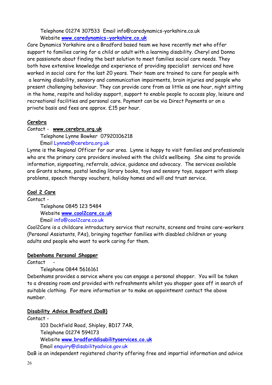Telephone 01274 307533 Email info@caredynamics-yorkshire.co.uk Website **www.caredynamics-yorkshire.co.uk**

Care Dynamics Yorkshire are a Bradford based team we have recently met who offer support to families caring for a child or adult with a learning disability. Cheryl and Donna are passionate about finding the best solution to meet families social care needs. They both have extensive knowledge and experience of providing specialist services and have worked in social care for the last 20 years. Their team are trained to care for people with a learning disability, sensory and communication impairments, brain injuries and people who present challenging behaviour. They can provide care from as little as one hour, night sitting in the home, respite and holiday support, support to enable people to access play, leisure and recreational facilities and personal care. Payment can be via Direct Payments or on a private basis and fees are approx. £15 per hour.

#### **Cerebra**

#### Contact - **www.cerebra.org.uk**

Telephone Lynne Bowker 07920106218

#### Email Lynneb@cerebra.org.uk

Lynne is the Regional Officer for our area. Lynne is happy to visit families and professionals who are the primary care providers involved with the child's wellbeing. She aims to provide information, signposting, referrals, advice, guidance and advocacy. The services available are Grants scheme, postal lending library books, toys and sensory toys, support with sleep problems, speech therapy vouchers, holiday homes and will and trust service.

#### **Cool 2 Care**

Contact -

 Telephone 0845 123 5484 Website **www.cool2care.co.uk**  Email info@cool2care.co.uk

Cool2Care is a childcare introductory service that recruits, screens and trains care-workers (Personal Assistants, PAs), bringing together families with disabled children or young adults and people who want to work caring for them.

#### **Debenhams Personal Shopper**

Contact

#### Telephone 0844 5616161

Debenhams provides a service where you can engage a personal shopper. You will be taken to a dressing room and provided with refreshments whilst you shopper goes off in search of suitable clothing. For more information or to make an appointment contact the above number.

#### **Disability Advice Bradford (DaB)**

Contact -

 103 Dockfield Road, Shipley, BD17 7AR, Telephone 01274 594173 Website **www.bradforddisabilityservices.co.uk**  Email enquiry@disabilityadvice.gov.uk

DaB is an independent registered charity offering free and impartial information and advice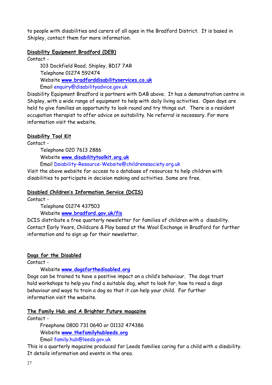to people with disabilities and carers of all ages in the Bradford District. It is based in Shipley, contact them for more information.

#### **Disability Equipment Bradford (DEB)**

Contact -

 103 Dockfield Road, Shipley, BD17 7AR Telephone 01274 592474 Website **www.bradforddisabilityservices.co.uk** Email enquiry@disabilityadvice.gov.uk

Disability Equipment Bradford is partners with DAB above. It has a demonstration centre in Shipley, with a wide range of equipment to help with daily living activities. Open days are held to give families an opportunity to look round and try things out. There is a resident occupation therapist to offer advice on suitability. No referral is necessary. For more information visit the website.

# **Disability Tool Kit**

Contact -

 Telephone 020 7613 2886 Website **www.disabilitytoolkit.org.uk**

Email Dsiability-Resource-Website@childrenssociety.org.uk

Visit the above website for access to a database of resources to help children with disabilities to participate in decision making and activities. Some are free.

# **Disabled Children's Information Service (DCIS)**

Contact -

Telephone 01274 437503

Website **www.bradford.gov.uk/fis** 

DCIS distribute a free quarterly newsletter for families of children with a disability. Contact Early Years, Childcare & Play based at the Wool Exchange in Bradford for further information and to sign up for their newsletter.

#### **Dogs for the Disabled**

Contact -

Website **www.dogsforthedisabled.org** 

Dogs can be trained to have a positive impact on a child's behaviour. The dogs trust hold workshops to help you find a suitable dog, what to look for, how to read a dogs behaviour and ways to train a dog so that it can help your child. For further information visit the website.

#### **The Family Hub and A Brighter Future magazine**

Contact -

 Freephone 0800 731 0640 or 01132 474386 Website **www.thefamilyhubleeds.org** Email family.hub@leeds.gov.uk

This is a quarterly magazine produced for Leeds families caring for a child with a disability. It details information and events in the area.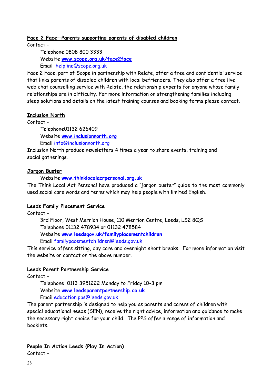#### **Face 2 Face—Parents supporting parents of disabled children**

Contact -

 Telephone 0808 800 3333 Website **[www.scope.org.uk/face2face](http://www.scope.org.uk/face2face)** Email helpline@scope.org.uk

Face 2 Face, part of Scope in partnership with Relate, offer a free and confidential service that links parents of disabled children with local befrienders. They also offer a free live web chat counselling service with Relate, the relationship experts for anyone whose family relationships are in difficulty. For more information on strengthening families including sleep solutions and details on the latest training courses and booking forms please contact.

#### **Inclusion North**

Contact -

Telephone01132 626409

Website **www.inclusionnorth.org** 

Email info@inclusionnorth.org

Inclusion North produce newsletters 4 times a year to share events, training and social gatherings.

#### **Jargon Buster**

Website **www.thinklocalacrpersonal.org.uk** 

The Think Local Act Personal have produced a "jargon buster" guide to the most commonly used social care words and terms which may help people with limited English.

#### **Leeds Family Placement Service**

Contact -

 3rd Floor, West Merrion House, 110 Merrion Centre, Leeds, LS2 8QS Telephone 01132 478934 or 01132 478584 Website **www.leedsgov.uk/familyplacementchildren** Email familypacementchildren@leeds.gov.uk

This service offers sitting, day care and overnight short breaks. For more information visit the website or contact on the above number.

#### **Leeds Parent Partnership Service**

Contact -

 Telephone 0113 3951222 Monday to Friday 10-3 pm Website **www.leedsparentpartnership.co.uk**  Email education.pps@leeds.gov.uk

The parent partnership is designed to help you as parents and carers of children with special educational needs (SEN), receive the right advice, information and guidance to make the necessary right choice for your child. The PPS offer a range of information and booklets.

#### **People In Action Leeds (Play In Action)**

Contact -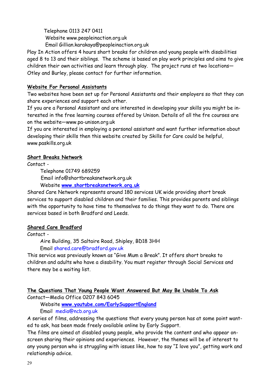Telephone 0113 247 0411 Website www.peopleinaction.org.uk Email Gillian.karakaya@peopleinaction.org.uk

Play In Action offers 4 hours short breaks for children and young people with disabilities aged 8 to 13 and their siblings. The scheme is based on play work principles and aims to give children their own activities and learn through play. The project runs at two locations— Otley and Burley, please contact for further information.

#### **Website For Personal Assistants**

Two websites have been set up for Personal Assistants and their employers so that they can share experiences and support each other.

If you are a Personal Assistant and are interested in developing your skills you might be interested in the free learning courses offered by Unison. Details of all the fre courses are on the website—www.pa-unison.org.uk

If you are interested in employing a personal assistant and want further information about developing their skills then this website created by Skills for Care could be helpful, www.paskills.org.uk

#### **Short Breaks Network**

Contact -

Telephone 01749 689259

Email info@shortbreaksnetwork.org.uk

Website **www.shortbreaksnetwork.org.uk**

Shared Care Network represents around 180 services UK wide providing short break services to support disabled children and their families. This provides parents and siblings with the opportunity to have time to themselves to do things they want to do. There are services based in both Bradford and Leeds.

#### **Shared Care Bradford**

Contact -

Aire Building, 35 Saltaire Road, Shipley, BD18 3HH

Email shared.care@bradford.gov.uk

This service was previously known as "Give Mum a Break". It offers short breaks to children and adults who have a disability. You must register through Social Services and there may be a waiting list.

#### **The Questions That Young People Want Answered But May Be Unable To Ask**

Contact—Media Office 0207 843 6045

Website **www.youtube.com/EarlySupportEngland**

Email media@ncb.org.uk

A series of films, addressing the questions that every young person has at some point wanted to ask, has been made freely available online by Early Support.

The films are aimed at disabled young people, who provide the content and who appear onscreen sharing their opinions and experiences. However, the themes will be of interest to any young person who is struggling with issues like, how to say "I love you", getting work and relationship advice.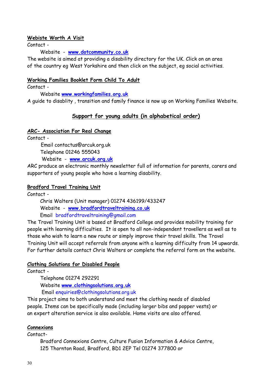#### **Webiste Worth A Visit**

Contact -

Website - **www.dotcommunity.co.uk** 

The website is aimed at providing a disability directory for the UK. Click on an area of the country eg West Yorkshire and then click on the subject, eg social activities.

#### **Working Families Booklet Form Child To Adult**

Contact -

Website **www.workingfamilies.org.uk**

A guide to disablity , transition and family finance is now up on Working Families Website.

#### **Support for young adults (in alphabetical order)**

#### **ARC- Association For Real Change**

Contact -

 Email contactus@arcuk.org.uk Telephone 01246 555043 Website - **www.arcuk.org.uk**

ARC produce an electronic monthly newsletter full of information for parents, carers and supporters of young people who have a learning disability.

#### **Bradford Travel Training Unit**

Contact -

 Chris Walters (Unit manager) 01274 436199/433247 Website - **www.bradfordtraveltraining.co.uk**  Email bradfordtraveltraining@gmail.com

The Travel Training Unit is based at Bradford College and provides mobility training for people with learning difficulties. It is open to all non-independent travellers as well as to those who wish to learn a new route or simply improve their travel skills. The Travel Training Unit will accept referrals from anyone with a learning difficulty from 14 upwards. For further details contact Chris Walters or complete the referral form on the website.

#### **Clothing Solutions for Disabled People**

Contact -

 Telephone 01274 292291 Website **[www.clothingsolutions.org.](http://www.clothingsolutions.org/)uk** Email [enquiries@clothingsolutions.org.uk](mailto:enquiries@clothingsolutions.org.uk) 

This project aims to both understand and meet the clothing needs of disabled people. Items can be specifically made (including larger bibs and popper vests) or an expert alteration service is also available. Home visits are also offered.

#### **Connexions**

Contact-

 Bradford Connexions Centre, Culture Fusion Information & Advice Centre, 125 Thornton Road, Bradford, BD1 2EP Tel 01274 377800 or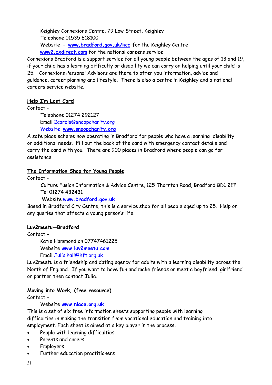Keighley Connexions Centre, 79 Low Street, Keighley Telephone 01535 618100 Website - **[www.bradford.gov.uk/kcc](http://www.clothingsolutions.org/)** for the Keighley Centre **www2.cxdirect.com** for the national careers service

Connexions Bradford is a support service for all young people between the ages of 13 and 19, if your child has a learning difficulty or disability we can carry on helping until your child is 25. Connexions Personal Advisors are there to offer you information, advice and guidance, career planning and lifestyle. There is also a centre in Keighley and a national careers service website.

#### **Help I'm Lost Card**

Contact -

 Telephone 01274 292127 Email 2carols@snoopcharity.org Website **www.snoopcharity.org**

A safe place scheme now operating in Bradford for people who have a learning disability or additional needs. Fill out the back of the card with emergency contact details and carry the card with you. There are 900 places in Bradford where people can go for assistance.

#### **The Information Shop for Young People**

Contact -

 Culture Fusion Information & Advice Centre, 125 Thornton Road, Bradford BD1 2EP Tel 01274 432431

Website **www.bradford.gov.uk**

Based in Bradford City Centre, this is a service shop for all people aged up to 25. Help on any queries that affects a young person's life.

#### **Luv2meetu—Bradford**

Contact -

Katie Hammond on 07747461225

Website **www.luv2meetu.com** 

Email Julia.hall@hft.org.uk

Luv2meetu is a friendship and dating agency for adults with a learning disability across the North of England. If you want to have fun and make friends or meet a boyfriend, girlfriend or partner then contact Julia.

# **Moving into Work, (free resource)**

Contact -

Website **[www.niace.org.uk](http://www.niace.org.uk/research/HDE/documents.htm)**

This is a set of six free information sheets supporting people with learning difficulties in making the transition from vocational education and training into employment. Each sheet is aimed at a key player in the process:

- People with learning difficulties
- Parents and carers
- Employers
- Further education practitioners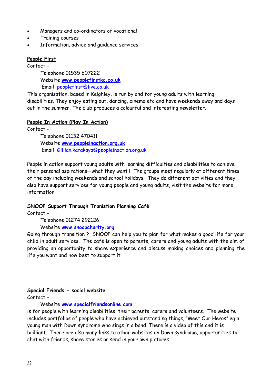- Managers and co-ordinators of vocational
- Training courses
- Information, advice and guidance services

#### **People First**

Contact -

 Telephone 01535 607222 Website **www.peoplefirstkc.co.uk** Email peoplefirst@live.co.uk

This organisation, based in Keighley, is run by and for young adults with learning disabilities. They enjoy eating out, dancing, cinema etc and have weekends away and days out in the summer. The club produces a colourful and interesting newsletter.

#### **People In Action (Play In Action)**

Contact -

 Telephone 01132 470411 Website **www.peopleinaction.org.uk**  Email Gillian.karakaya@peopleinaction.org.uk

People in action support young adults with learning difficulties and disabilities to achieve their personal aspirations—what they want ! The groups meet regularly at different times of the day including weekends and school holidays. They do different activities and they also have support services for young people and young adults, visit the website for more information.

#### **SNOOP Support Through Tranistion Planning Café**

Contact -

 Telephone 01274 292126 Website **www.snoopcharity.org**

Going through transition ? SNOOP can help you to plan for what makes a good life for your child in adult services. The café is open to parents, carers and young adults with the aim of providing an opportunity to share experience and discuss making choices and planning the life you want and how best to support it.

#### **Special Friends - social website**

Contact -

Website **[www.specialfriendsonline.com](http://www.specialfriendsonline.com/)** 

is for people with learning disabilities, their parents, carers and volunteers. The website includes portfolios of people who have achieved outstanding things, "Meet Our Heros" eg a young man with Down syndrome who sings in a band. There is a video of this and it is brilliant. There are also many links to other websites on Down syndrome, opportunities to chat with friends, share stories or send in your own pictures.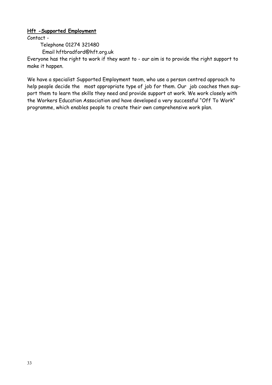#### **Hft -Supported Employment**

Contact -

Telephone 01274 321480

Email hftbradford@hft.org.uk

Everyone has the right to work if they want to - our aim is to provide the right support to make it happen.

We have a specialist Supported Employment team, who use a person centred approach to help people decide the most appropriate type of job for them. Our job coaches then support them to learn the skills they need and provide support at work. We work closely with the Workers Education Association and have developed a very successful "Off To Work" programme, which enables people to create their own comprehensive work plan.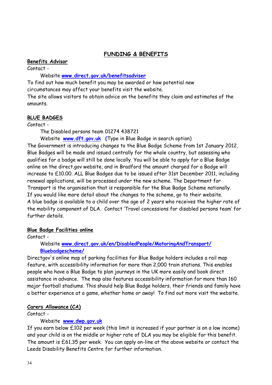# **FUNDING & BENEFITS**

#### **Benefits Advisor**

Contact -

Website **www.direct.gov.uk/benefitsadviser**

To find out how much benefit you may be awarded or how potential new circumstances may affect your benefits visit the website.

The site allows visitors to obtain advice on the benefits they claim and estimates of the amounts.

# **BLUE BADGES**

Contact -

The Disabled persons team 01274 438721

 Website **www.dft.gov.uk (**Type in Blue Badge in search option) The Government is introducing changes to the Blue Badge Scheme from 1st January 2012, Blue Badges will be made and issued centrally for the whole country, but assessing who qualifies for a badge will still be done locally. You will be able to apply for a Blue Badge online on the direct.gov website, and in Bradford the amount charged for a Badge will increase to £10.00. ALL Blue Badges due to be issued after 31st December 2011, including renewal applications, will be processed under the new scheme. The Department for Transport is the organisation that is responsible for the Blue Badge Scheme nationally. If you would like more detail about the changes to the scheme, go to their website. A blue badge is available to a child over the age of 2 years who receives the higher rate of the mobility component of DLA. Contact 'Travel concessions for disabled persons team' for further details.

#### **Blue Badge Facilities online**

Contact -

# Website **www.direct.gov.uk/en/DisabledPeople/MotoringAndTransport/ Bluebadgescheme/**

Directgov's online map of parking facilities for Blue Badge holders includes a rail map feature, with accessibility information for more than 2,000 train stations. This enables people who have a Blue Badge to plan journeys in the UK more easily and book direct assistance in advance. The map also features accessibility information for more than 160 major football stadiums. This should help Blue Badge holders, their friends and family have a better experience at a game, whether home or away! To find out more visit the website.

# **Carers Allowance (CA)**

Contact -

# Website **www.dwp.gov.uk**

If you earn below £102 per week (this limit is increased if your partner is on a low income) and your child is on the middle or higher rate of DLA you may be eligible for this benefit. The amount is £61.35 per week. You can apply on-line at the above website or contact the Leeds Disability Benefits Centre for further information.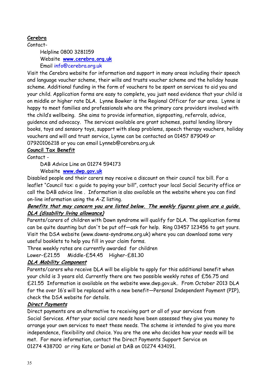# **Cerebra**

Contact-

 Helpline 0800 3281159 Website **www.cerebra.org.uk**  Email info@cerebra.org.uk

Visit the Cerebra website for information and support in many areas including their speech and language voucher scheme, their wills and trusts voucher scheme and the holiday house scheme. Additional funding in the form of vouchers to be spent on services to aid you and your child. Application forms are easy to complete, you just need evidence that your child is on middle or higher rate DLA. Lynne Bowker is the Regional Officer for our area. Lynne is happy to meet families and professionals who are the primary care providers involved with the child's wellbeing. She aims to provide information, signposting, referrals, advice, guidence and advocacy. The services available are grant schemes, postal lending library books, toys and sensory toys, support with sleep problems, speech therapy vouchers, holiday vouchers and will and trust service, Lynne can be contacted on 01457 879049 or 07920106218 or you can email Lynneb@cerebra.org.uk

# **Council Tax Benefit**

Contact -

DAB Advice Line on 01274 594173

Website **www.dwp.gov.uk** 

Disabled people and their carers may receive a discount on their council tax bill. For a leaflet "Council tax: a guide to paying your bill", contact your local Social Security office or call the DAB advice line . Information is also available on the website where you can find on-line information using the A-Z listing.

# **Benefits that may concern you are listed below. The weekly figures given are a guide. DLA (disability living allowance)**

Parents/carers of children with Down syndrome will qualify for DLA. The application forms can be quite daunting but don't be put off—ask for help. Ring 03457 123456 to get yours. Visit the DSA website (www.downs-syndrome.org.uk) where you can download some very useful booklets to help you fill in your claim forms.

Three weekly rates are currently awarded for children

Lower-£21.55 Middle-£54.45 Higher-£81.30

# **DLA Mobility Component**

Parents/carers who receive DLA will be eligible to apply for this additional benefit when your child is 3 years old. Currently there are two possible weekly rates of £56.75 and £21.55 Information is available on the website www.dwp.gov.uk.. From October 2013 DLA for the over 16's will be replaced with a new benefit—Personal Independent Payment (PIP), check the DSA website for details.

# **Direct Payments**

Direct payments are an alternative to receiving part or all of your services from Social Services. After your social care needs have been assessed they give you money to arrange your own services to meet these needs. The scheme is intended to give you more independence, flexibility and choice. You are the one who decides how your needs will be met. For more information, contact the Direct Payments Support Service on 01274 438700 or ring Kate or Daniel at DAB on 01274 434191.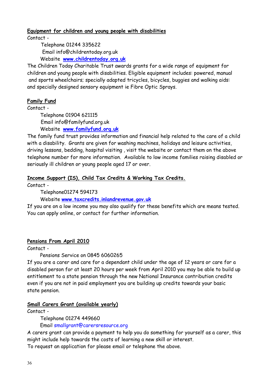#### **Equipment for children and young people with disabilities**

Contact -

 Telephone 01244 335622 Email info@childrentoday.org.uk Website **www.childrentoday.org.uk** 

The Children Today Charitable Trust awards grants for a wide range of equipment for children and young people with disabilities. Eligible equipment includes: powered, manual and sports wheelchairs; specially adapted tricycles, bicycles, buggies and walking aids: and specially designed sensory equipment ie Fibre Optic Sprays.

#### **Family Fund**

Contact -

 Telephone 01904 621115 Email info@familyfund.org.uk Website **www.familyfund.org.uk**

The family fund trust provides information and financial help related to the care of a child with a disability. Grants are given for washing machines, holidays and leisure activities, driving lessons, bedding, hospital visiting , visit the website or contact them on the above telephone number for more information. Available to low income families raising disabled or seriously ill children or young people aged 17 or over.

#### **Income Support (IS), Child Tax Credits & Working Tax Credits.**

Contact -

Telephone01274 594173

Website **www.taxcredits.inlandrevenue.gov.uk**

If you are on a low income you may also qualify for these benefits which are means tested. You can apply online, or contact for further information.

#### **Pensions From April 2010**

Contact -

Pensions Service on 0845 6060265

If you are a carer and care for a dependant child under the age of 12 years or care for a disabled person for at least 20 hours per week from April 2010 you may be able to build up entitlement to a state pension through the new National Insurance contribution credits even if you are not in paid employment you are building up credits towards your basic state pension.

#### **Small Carers Grant (available yearly)**

Contact -

Telephone 01274 449660

Email smallgrant@carersresource.org

A carers grant can provide a payment to help you do something for yourself as a carer, this might include help towards the costs of learning a new skill or interest.

To request an application for please email or telephone the above.